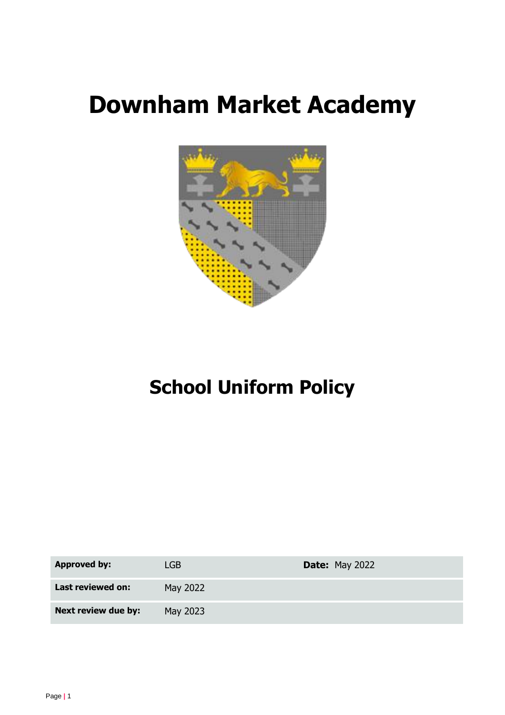# **Downham Market Academy**



## **School Uniform Policy**

| <b>Approved by:</b> | LGB      | <b>Date: May 2022</b> |
|---------------------|----------|-----------------------|
| Last reviewed on:   | May 2022 |                       |
| Next review due by: | May 2023 |                       |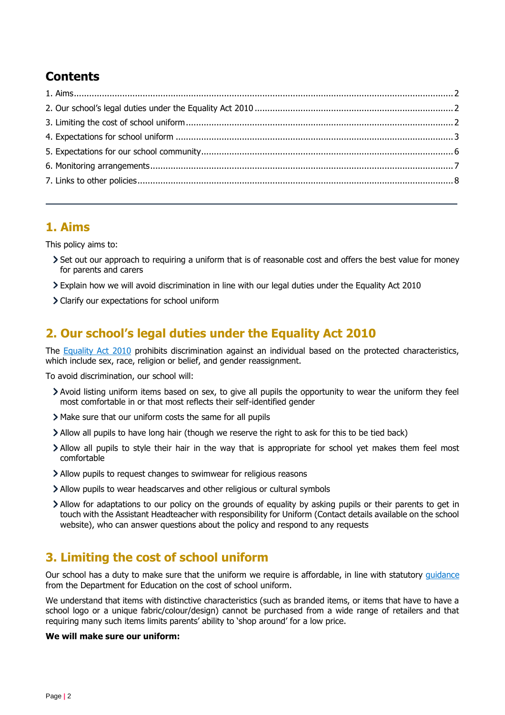## **Contents**

## <span id="page-1-0"></span>**1. Aims**

This policy aims to:

- Set out our approach to requiring a uniform that is of reasonable cost and offers the best value for money for parents and carers
- Explain how we will avoid discrimination in line with our legal duties under the Equality Act 2010
- Clarify our expectations for school uniform

## <span id="page-1-1"></span>**2. Our school's legal duties under the Equality Act 2010**

The [Equality Act 2010](https://www.legislation.gov.uk/ukpga/2010/15/contents) prohibits discrimination against an individual based on the protected characteristics, which include sex, race, religion or belief, and gender reassignment.

To avoid discrimination, our school will:

- Avoid listing uniform items based on sex, to give all pupils the opportunity to wear the uniform they feel most comfortable in or that most reflects their self-identified gender
- Make sure that our uniform costs the same for all pupils
- Allow all pupils to have long hair (though we reserve the right to ask for this to be tied back)
- Allow all pupils to style their hair in the way that is appropriate for school yet makes them feel most comfortable
- Allow pupils to request changes to swimwear for religious reasons
- Allow pupils to wear headscarves and other religious or cultural symbols
- Allow for adaptations to our policy on the grounds of equality by asking pupils or their parents to get in touch with the Assistant Headteacher with responsibility for Uniform (Contact details available on the school website), who can answer questions about the policy and respond to any requests

## <span id="page-1-2"></span>**3. Limiting the cost of school uniform**

Our school has a duty to make sure that the uniform we require is affordable, in line with statutory [guidance](https://www.gov.uk/government/publications/cost-of-school-uniforms/cost-of-school-uniforms) from the Department for Education on the cost of school uniform.

We understand that items with distinctive characteristics (such as branded items, or items that have to have a school logo or a unique fabric/colour/design) cannot be purchased from a wide range of retailers and that requiring many such items limits parents' ability to 'shop around' for a low price.

#### **We will make sure our uniform:**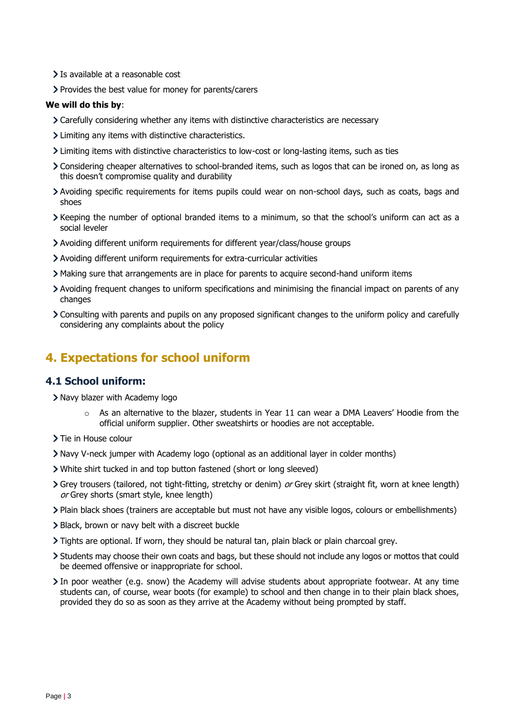- > Is available at a reasonable cost
- Provides the best value for money for parents/carers

#### **We will do this by**:

- Carefully considering whether any items with distinctive characteristics are necessary
- Limiting any items with distinctive characteristics.
- Limiting items with distinctive characteristics to low-cost or long-lasting items, such as ties
- Considering cheaper alternatives to school-branded items, such as logos that can be ironed on, as long as this doesn't compromise quality and durability
- Avoiding specific requirements for items pupils could wear on non-school days, such as coats, bags and shoes
- Keeping the number of optional branded items to a minimum, so that the school's uniform can act as a social leveler
- Avoiding different uniform requirements for different year/class/house groups
- Avoiding different uniform requirements for extra-curricular activities
- Making sure that arrangements are in place for parents to acquire second-hand uniform items
- Avoiding frequent changes to uniform specifications and minimising the financial impact on parents of any changes
- Consulting with parents and pupils on any proposed significant changes to the uniform policy and carefully considering any complaints about the policy

## <span id="page-2-0"></span>**4. Expectations for school uniform**

#### **4.1 School uniform:**

Navy blazer with Academy logo

- $\circ$  As an alternative to the blazer, students in Year 11 can wear a DMA Leavers' Hoodie from the official uniform supplier. Other sweatshirts or hoodies are not acceptable.
- > Tie in House colour
- Navy V-neck jumper with Academy logo (optional as an additional layer in colder months)
- White shirt tucked in and top button fastened (short or long sleeved)
- Srey trousers (tailored, not tight-fitting, stretchy or denim) or Grey skirt (straight fit, worn at knee length) or Grey shorts (smart style, knee length)
- Plain black shoes (trainers are acceptable but must not have any visible logos, colours or embellishments)
- > Black, brown or navy belt with a discreet buckle
- Tights are optional. If worn, they should be natural tan, plain black or plain charcoal grey.
- Students may choose their own coats and bags, but these should not include any logos or mottos that could be deemed offensive or inappropriate for school.
- In poor weather (e.g. snow) the Academy will advise students about appropriate footwear. At any time students can, of course, wear boots (for example) to school and then change in to their plain black shoes, provided they do so as soon as they arrive at the Academy without being prompted by staff.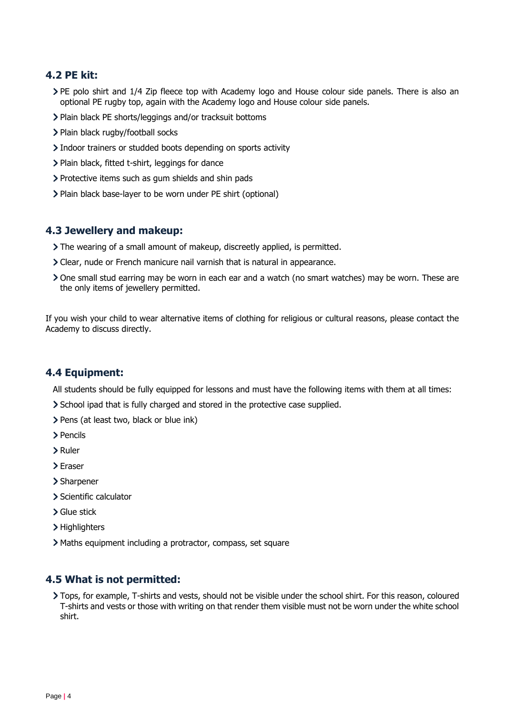#### **4.2 PE kit:**

- PE polo shirt and 1/4 Zip fleece top with Academy logo and House colour side panels. There is also an optional PE rugby top, again with the Academy logo and House colour side panels.
- Plain black PE shorts/leggings and/or tracksuit bottoms
- > Plain black rugby/football socks
- Indoor trainers or studded boots depending on sports activity
- Plain black, fitted t-shirt, leggings for dance
- Protective items such as gum shields and shin pads
- Plain black base-layer to be worn under PE shirt (optional)

#### **4.3 Jewellery and makeup:**

- The wearing of a small amount of makeup, discreetly applied, is permitted.
- Clear, nude or French manicure nail varnish that is natural in appearance.
- One small stud earring may be worn in each ear and a watch (no smart watches) may be worn. These are the only items of jewellery permitted.

If you wish your child to wear alternative items of clothing for religious or cultural reasons, please contact the Academy to discuss directly.

#### **4.4 Equipment:**

All students should be fully equipped for lessons and must have the following items with them at all times:

- School ipad that is fully charged and stored in the protective case supplied.
- Pens (at least two, black or blue ink)
- > Pencils
- Ruler
- Eraser
- > Sharpener
- > Scientific calculator
- Glue stick
- > Highlighters
- Maths equipment including a protractor, compass, set square

#### **4.5 What is not permitted:**

Tops, for example, T-shirts and vests, should not be visible under the school shirt. For this reason, coloured T-shirts and vests or those with writing on that render them visible must not be worn under the white school shirt.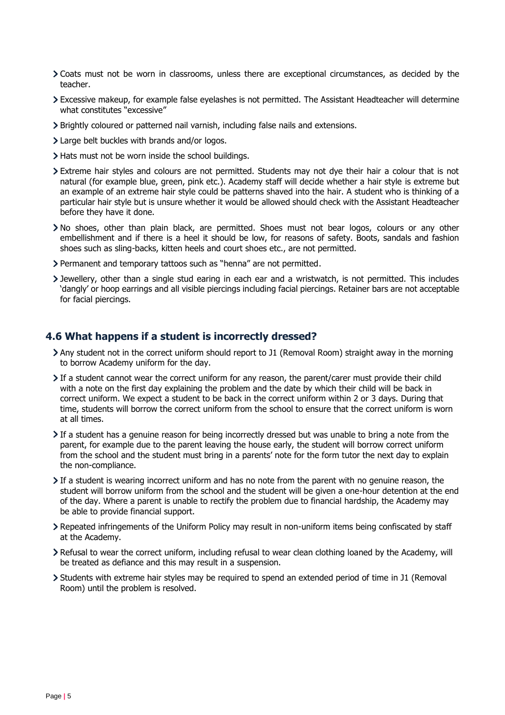- Coats must not be worn in classrooms, unless there are exceptional circumstances, as decided by the teacher.
- Excessive makeup, for example false eyelashes is not permitted. The Assistant Headteacher will determine what constitutes "excessive"
- Brightly coloured or patterned nail varnish, including false nails and extensions.
- Large belt buckles with brands and/or logos.
- > Hats must not be worn inside the school buildings.
- Extreme hair styles and colours are not permitted. Students may not dye their hair a colour that is not natural (for example blue, green, pink etc.). Academy staff will decide whether a hair style is extreme but an example of an extreme hair style could be patterns shaved into the hair. A student who is thinking of a particular hair style but is unsure whether it would be allowed should check with the Assistant Headteacher before they have it done.
- No shoes, other than plain black, are permitted. Shoes must not bear logos, colours or any other embellishment and if there is a heel it should be low, for reasons of safety. Boots, sandals and fashion shoes such as sling-backs, kitten heels and court shoes etc., are not permitted.
- Permanent and temporary tattoos such as "henna" are not permitted.
- Jewellery, other than a single stud earing in each ear and a wristwatch, is not permitted. This includes 'dangly' or hoop earrings and all visible piercings including facial piercings. Retainer bars are not acceptable for facial piercings.

#### **4.6 What happens if a student is incorrectly dressed?**

- Any student not in the correct uniform should report to J1 (Removal Room) straight away in the morning to borrow Academy uniform for the day.
- If a student cannot wear the correct uniform for any reason, the parent/carer must provide their child with a note on the first day explaining the problem and the date by which their child will be back in correct uniform. We expect a student to be back in the correct uniform within 2 or 3 days. During that time, students will borrow the correct uniform from the school to ensure that the correct uniform is worn at all times.
- If a student has a genuine reason for being incorrectly dressed but was unable to bring a note from the parent, for example due to the parent leaving the house early, the student will borrow correct uniform from the school and the student must bring in a parents' note for the form tutor the next day to explain the non-compliance.
- If a student is wearing incorrect uniform and has no note from the parent with no genuine reason, the student will borrow uniform from the school and the student will be given a one-hour detention at the end of the day. Where a parent is unable to rectify the problem due to financial hardship, the Academy may be able to provide financial support.
- Repeated infringements of the Uniform Policy may result in non-uniform items being confiscated by staff at the Academy.
- Refusal to wear the correct uniform, including refusal to wear clean clothing loaned by the Academy, will be treated as defiance and this may result in a suspension.
- Students with extreme hair styles may be required to spend an extended period of time in J1 (Removal Room) until the problem is resolved.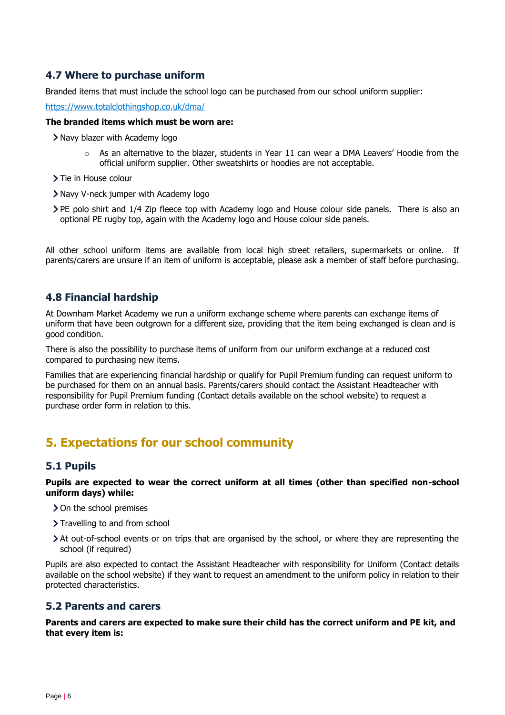#### **4.7 Where to purchase uniform**

Branded items that must include the school logo can be purchased from our school uniform supplier:

<https://www.totalclothingshop.co.uk/dma/>

#### **The branded items which must be worn are:**

Navy blazer with Academy logo

- $\circ$  As an alternative to the blazer, students in Year 11 can wear a DMA Leavers' Hoodie from the official uniform supplier. Other sweatshirts or hoodies are not acceptable.
- > Tie in House colour
- > Navy V-neck jumper with Academy logo
- PE polo shirt and 1/4 Zip fleece top with Academy logo and House colour side panels. There is also an optional PE rugby top, again with the Academy logo and House colour side panels.

All other school uniform items are available from local high street retailers, supermarkets or online. If parents/carers are unsure if an item of uniform is acceptable, please ask a member of staff before purchasing.

#### **4.8 Financial hardship**

At Downham Market Academy we run a uniform exchange scheme where parents can exchange items of uniform that have been outgrown for a different size, providing that the item being exchanged is clean and is good condition.

There is also the possibility to purchase items of uniform from our uniform exchange at a reduced cost compared to purchasing new items.

Families that are experiencing financial hardship or qualify for Pupil Premium funding can request uniform to be purchased for them on an annual basis. Parents/carers should contact the Assistant Headteacher with responsibility for Pupil Premium funding (Contact details available on the school website) to request a purchase order form in relation to this.

## <span id="page-5-0"></span>**5. Expectations for our school community**

#### **5.1 Pupils**

#### **Pupils are expected to wear the correct uniform at all times (other than specified non-school uniform days) while:**

- > On the school premises
- > Travelling to and from school
- At out-of-school events or on trips that are organised by the school, or where they are representing the school (if required)

Pupils are also expected to contact the Assistant Headteacher with responsibility for Uniform (Contact details available on the school website) if they want to request an amendment to the uniform policy in relation to their protected characteristics.

#### **5.2 Parents and carers**

**Parents and carers are expected to make sure their child has the correct uniform and PE kit, and that every item is:**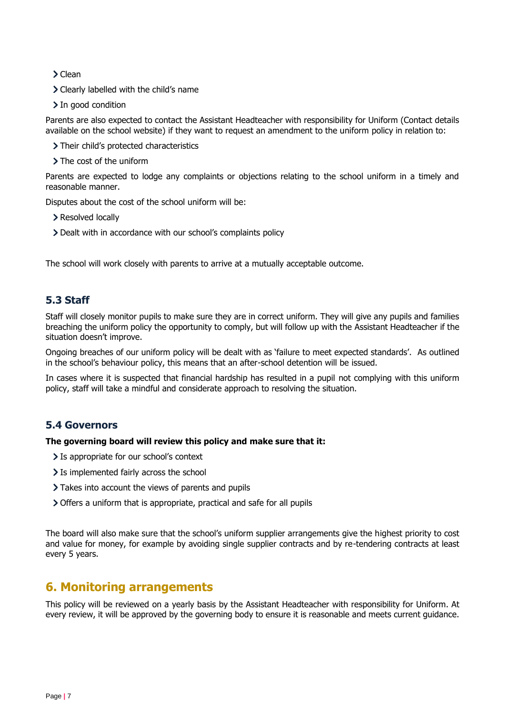$\sum$ Clean

- Clearly labelled with the child's name
- In good condition

Parents are also expected to contact the Assistant Headteacher with responsibility for Uniform (Contact details available on the school website) if they want to request an amendment to the uniform policy in relation to:

- Their child's protected characteristics
- > The cost of the uniform

Parents are expected to lodge any complaints or objections relating to the school uniform in a timely and reasonable manner.

Disputes about the cost of the school uniform will be:

- Resolved locally
- Dealt with in accordance with our school's complaints policy

The school will work closely with parents to arrive at a mutually acceptable outcome.

#### **5.3 Staff**

Staff will closely monitor pupils to make sure they are in correct uniform. They will give any pupils and families breaching the uniform policy the opportunity to comply, but will follow up with the Assistant Headteacher if the situation doesn't improve.

Ongoing breaches of our uniform policy will be dealt with as 'failure to meet expected standards'. As outlined in the school's behaviour policy, this means that an after-school detention will be issued.

In cases where it is suspected that financial hardship has resulted in a pupil not complying with this uniform policy, staff will take a mindful and considerate approach to resolving the situation.

#### **5.4 Governors**

#### **The governing board will review this policy and make sure that it:**

- > Is appropriate for our school's context
- > Is implemented fairly across the school
- Takes into account the views of parents and pupils
- Offers a uniform that is appropriate, practical and safe for all pupils

The board will also make sure that the school's uniform supplier arrangements give the highest priority to cost and value for money, for example by avoiding single supplier contracts and by re-tendering contracts at least every 5 years.

### <span id="page-6-0"></span>**6. Monitoring arrangements**

This policy will be reviewed on a yearly basis by the Assistant Headteacher with responsibility for Uniform. At every review, it will be approved by the governing body to ensure it is reasonable and meets current guidance.